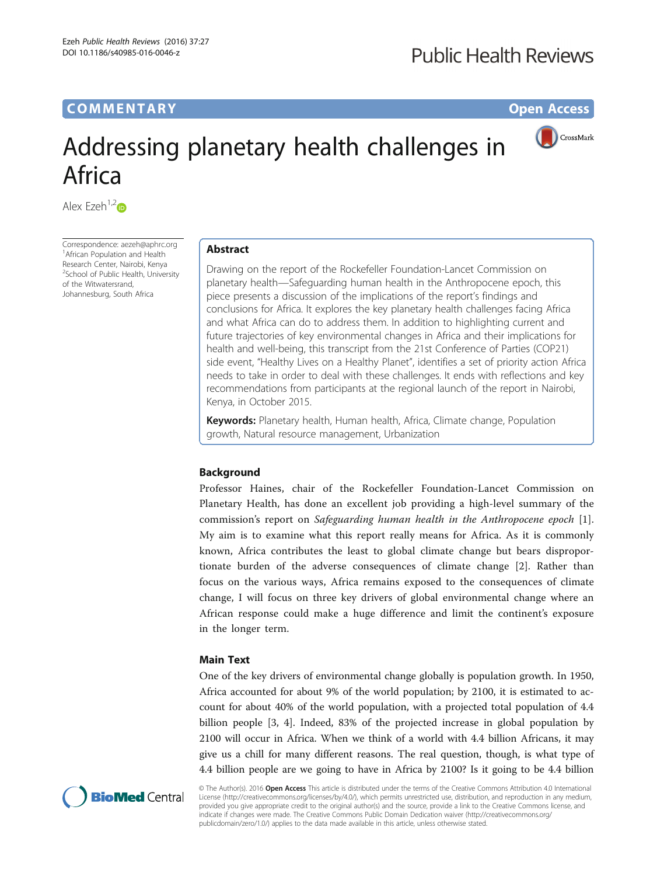# **COMMENTARY COMMENTARY Open Access**

CrossMark

# Addressing planetary health challenges in Africa

Alex Ezeh<sup>1,2</sup> $\bullet$ 

Correspondence: [aezeh@aphrc.org](mailto:aezeh@aphrc.org) <sup>1</sup> <sup>1</sup> African Population and Health Research Center, Nairobi, Kenya <sup>2</sup>School of Public Health, University of the Witwatersrand, Johannesburg, South Africa

# Abstract

Drawing on the report of the Rockefeller Foundation-Lancet Commission on planetary health—Safeguarding human health in the Anthropocene epoch, this piece presents a discussion of the implications of the report's findings and conclusions for Africa. It explores the key planetary health challenges facing Africa and what Africa can do to address them. In addition to highlighting current and future trajectories of key environmental changes in Africa and their implications for health and well-being, this transcript from the 21st Conference of Parties (COP21) side event, "Healthy Lives on a Healthy Planet", identifies a set of priority action Africa needs to take in order to deal with these challenges. It ends with reflections and key recommendations from participants at the regional launch of the report in Nairobi, Kenya, in October 2015.

Keywords: Planetary health, Human health, Africa, Climate change, Population growth, Natural resource management, Urbanization

## Background

Professor Haines, chair of the Rockefeller Foundation-Lancet Commission on Planetary Health, has done an excellent job providing a high-level summary of the commission's report on Safeguarding human health in the Anthropocene epoch [\[1](#page-3-0)]. My aim is to examine what this report really means for Africa. As it is commonly known, Africa contributes the least to global climate change but bears disproportionate burden of the adverse consequences of climate change [[2\]](#page-3-0). Rather than focus on the various ways, Africa remains exposed to the consequences of climate change, I will focus on three key drivers of global environmental change where an African response could make a huge difference and limit the continent's exposure in the longer term.

### Main Text

One of the key drivers of environmental change globally is population growth. In 1950, Africa accounted for about 9% of the world population; by 2100, it is estimated to account for about 40% of the world population, with a projected total population of 4.4 billion people [[3, 4](#page-3-0)]. Indeed, 83% of the projected increase in global population by 2100 will occur in Africa. When we think of a world with 4.4 billion Africans, it may give us a chill for many different reasons. The real question, though, is what type of 4.4 billion people are we going to have in Africa by 2100? Is it going to be 4.4 billion



© The Author(s). 2016 Open Access This article is distributed under the terms of the Creative Commons Attribution 4.0 International License ([http://creativecommons.org/licenses/by/4.0/\)](http://creativecommons.org/licenses/by/4.0/), which permits unrestricted use, distribution, and reproduction in any medium, provided you give appropriate credit to the original author(s) and the source, provide a link to the Creative Commons license, and indicate if changes were made. The Creative Commons Public Domain Dedication waiver ([http://creativecommons.org/](http://creativecommons.org/publicdomain/zero/1.0/) [publicdomain/zero/1.0/\)](http://creativecommons.org/publicdomain/zero/1.0/) applies to the data made available in this article, unless otherwise stated.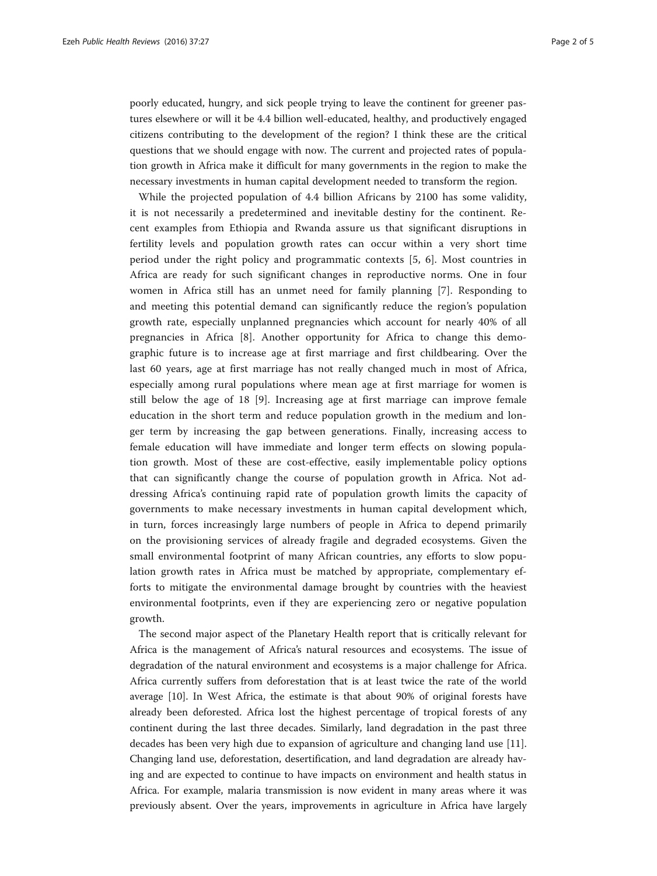poorly educated, hungry, and sick people trying to leave the continent for greener pastures elsewhere or will it be 4.4 billion well-educated, healthy, and productively engaged citizens contributing to the development of the region? I think these are the critical questions that we should engage with now. The current and projected rates of population growth in Africa make it difficult for many governments in the region to make the necessary investments in human capital development needed to transform the region.

While the projected population of 4.4 billion Africans by 2100 has some validity, it is not necessarily a predetermined and inevitable destiny for the continent. Recent examples from Ethiopia and Rwanda assure us that significant disruptions in fertility levels and population growth rates can occur within a very short time period under the right policy and programmatic contexts [\[5](#page-3-0), [6\]](#page-3-0). Most countries in Africa are ready for such significant changes in reproductive norms. One in four women in Africa still has an unmet need for family planning [[7](#page-3-0)]. Responding to and meeting this potential demand can significantly reduce the region's population growth rate, especially unplanned pregnancies which account for nearly 40% of all pregnancies in Africa [[8\]](#page-4-0). Another opportunity for Africa to change this demographic future is to increase age at first marriage and first childbearing. Over the last 60 years, age at first marriage has not really changed much in most of Africa, especially among rural populations where mean age at first marriage for women is still below the age of 18 [[9\]](#page-4-0). Increasing age at first marriage can improve female education in the short term and reduce population growth in the medium and longer term by increasing the gap between generations. Finally, increasing access to female education will have immediate and longer term effects on slowing population growth. Most of these are cost-effective, easily implementable policy options that can significantly change the course of population growth in Africa. Not addressing Africa's continuing rapid rate of population growth limits the capacity of governments to make necessary investments in human capital development which, in turn, forces increasingly large numbers of people in Africa to depend primarily on the provisioning services of already fragile and degraded ecosystems. Given the small environmental footprint of many African countries, any efforts to slow population growth rates in Africa must be matched by appropriate, complementary efforts to mitigate the environmental damage brought by countries with the heaviest environmental footprints, even if they are experiencing zero or negative population growth.

The second major aspect of the Planetary Health report that is critically relevant for Africa is the management of Africa's natural resources and ecosystems. The issue of degradation of the natural environment and ecosystems is a major challenge for Africa. Africa currently suffers from deforestation that is at least twice the rate of the world average [[10](#page-4-0)]. In West Africa, the estimate is that about 90% of original forests have already been deforested. Africa lost the highest percentage of tropical forests of any continent during the last three decades. Similarly, land degradation in the past three decades has been very high due to expansion of agriculture and changing land use [[11](#page-4-0)]. Changing land use, deforestation, desertification, and land degradation are already having and are expected to continue to have impacts on environment and health status in Africa. For example, malaria transmission is now evident in many areas where it was previously absent. Over the years, improvements in agriculture in Africa have largely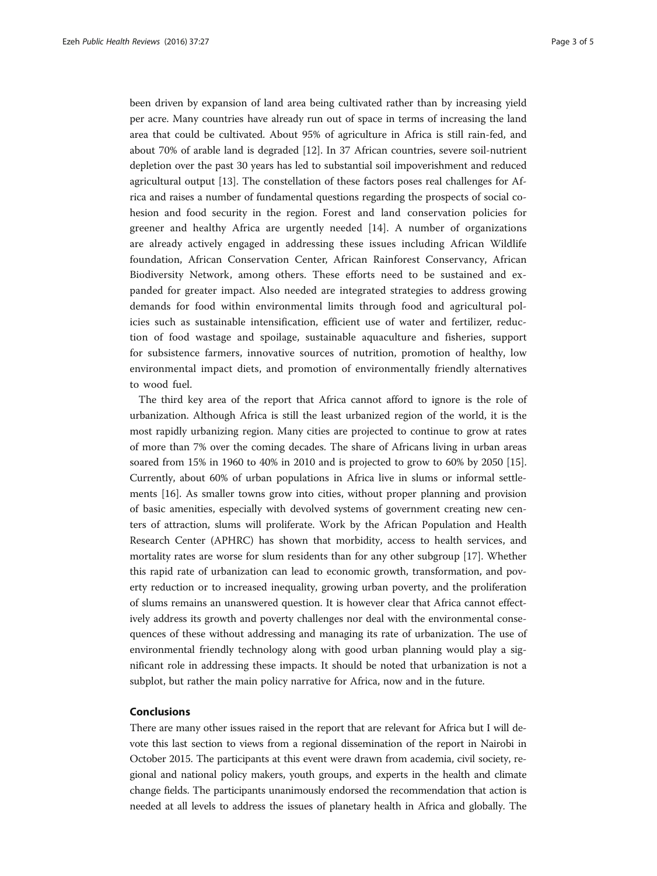been driven by expansion of land area being cultivated rather than by increasing yield per acre. Many countries have already run out of space in terms of increasing the land area that could be cultivated. About 95% of agriculture in Africa is still rain-fed, and about 70% of arable land is degraded [[12](#page-4-0)]. In 37 African countries, severe soil-nutrient depletion over the past 30 years has led to substantial soil impoverishment and reduced agricultural output [\[13](#page-4-0)]. The constellation of these factors poses real challenges for Africa and raises a number of fundamental questions regarding the prospects of social cohesion and food security in the region. Forest and land conservation policies for greener and healthy Africa are urgently needed [\[14](#page-4-0)]. A number of organizations are already actively engaged in addressing these issues including African Wildlife foundation, African Conservation Center, African Rainforest Conservancy, African Biodiversity Network, among others. These efforts need to be sustained and expanded for greater impact. Also needed are integrated strategies to address growing demands for food within environmental limits through food and agricultural policies such as sustainable intensification, efficient use of water and fertilizer, reduction of food wastage and spoilage, sustainable aquaculture and fisheries, support for subsistence farmers, innovative sources of nutrition, promotion of healthy, low environmental impact diets, and promotion of environmentally friendly alternatives to wood fuel.

The third key area of the report that Africa cannot afford to ignore is the role of urbanization. Although Africa is still the least urbanized region of the world, it is the most rapidly urbanizing region. Many cities are projected to continue to grow at rates of more than 7% over the coming decades. The share of Africans living in urban areas soared from 15% in 1960 to 40% in 2010 and is projected to grow to 60% by 2050 [[15](#page-4-0)]. Currently, about 60% of urban populations in Africa live in slums or informal settlements [[16](#page-4-0)]. As smaller towns grow into cities, without proper planning and provision of basic amenities, especially with devolved systems of government creating new centers of attraction, slums will proliferate. Work by the African Population and Health Research Center (APHRC) has shown that morbidity, access to health services, and mortality rates are worse for slum residents than for any other subgroup [\[17\]](#page-4-0). Whether this rapid rate of urbanization can lead to economic growth, transformation, and poverty reduction or to increased inequality, growing urban poverty, and the proliferation of slums remains an unanswered question. It is however clear that Africa cannot effectively address its growth and poverty challenges nor deal with the environmental consequences of these without addressing and managing its rate of urbanization. The use of environmental friendly technology along with good urban planning would play a significant role in addressing these impacts. It should be noted that urbanization is not a subplot, but rather the main policy narrative for Africa, now and in the future.

#### Conclusions

There are many other issues raised in the report that are relevant for Africa but I will devote this last section to views from a regional dissemination of the report in Nairobi in October 2015. The participants at this event were drawn from academia, civil society, regional and national policy makers, youth groups, and experts in the health and climate change fields. The participants unanimously endorsed the recommendation that action is needed at all levels to address the issues of planetary health in Africa and globally. The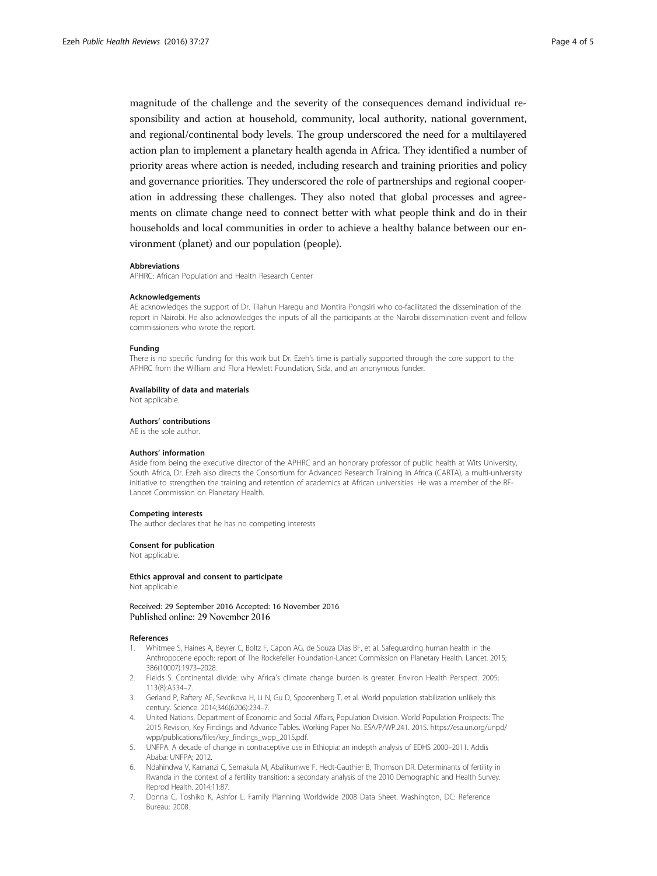<span id="page-3-0"></span>magnitude of the challenge and the severity of the consequences demand individual responsibility and action at household, community, local authority, national government, and regional/continental body levels. The group underscored the need for a multilayered action plan to implement a planetary health agenda in Africa. They identified a number of priority areas where action is needed, including research and training priorities and policy and governance priorities. They underscored the role of partnerships and regional cooperation in addressing these challenges. They also noted that global processes and agreements on climate change need to connect better with what people think and do in their households and local communities in order to achieve a healthy balance between our environment (planet) and our population (people).

#### Abbreviations

APHRC: African Population and Health Research Center

#### Acknowledgements

AE acknowledges the support of Dr. Tilahun Haregu and Montira Pongsiri who co-facilitated the dissemination of the report in Nairobi. He also acknowledges the inputs of all the participants at the Nairobi dissemination event and fellow commissioners who wrote the report.

#### Funding

There is no specific funding for this work but Dr. Ezeh's time is partially supported through the core support to the APHRC from the William and Flora Hewlett Foundation, Sida, and an anonymous funder.

#### Availability of data and materials

Not applicable.

#### Authors' contributions

AE is the sole author.

#### Authors' information

Aside from being the executive director of the APHRC and an honorary professor of public health at Wits University, South Africa, Dr. Ezeh also directs the Consortium for Advanced Research Training in Africa (CARTA), a multi-university initiative to strengthen the training and retention of academics at African universities. He was a member of the RF-Lancet Commission on Planetary Health.

#### Competing interests

The author declares that he has no competing interests

#### Consent for publication

Not applicable.

#### Ethics approval and consent to participate

Not applicable.

# Received: 29 September 2016 Accepted: 16 November 2016

#### References

- 1. Whitmee S, Haines A, Beyrer C, Boltz F, Capon AG, de Souza Dias BF, et al. Safeguarding human health in the Anthropocene epoch: report of The Rockefeller Foundation-Lancet Commission on Planetary Health. Lancet. 2015; 386(10007):1973–2028.
- 2. Fields S. Continental divide: why Africa's climate change burden is greater. Environ Health Perspect. 2005; 113(8):A534–7.
- 3. Gerland P, Raftery AE, Sevcikova H, Li N, Gu D, Spoorenberg T, et al. World population stabilization unlikely this century. Science. 2014;346(6206):234–7.
- 4. United Nations, Department of Economic and Social Affairs, Population Division. World Population Prospects: The 2015 Revision, Key Findings and Advance Tables. Working Paper No. ESA/P/WP.241. 2015. [https://esa.un.org/unpd/](https://esa.un.org/unpd/wpp/publications/files/key_findings_wpp_2015.pdf) [wpp/publications/files/key\\_findings\\_wpp\\_2015.pdf](https://esa.un.org/unpd/wpp/publications/files/key_findings_wpp_2015.pdf).
- 5. UNFPA. A decade of change in contraceptive use in Ethiopia: an indepth analysis of EDHS 2000–2011. Addis Ababa: UNFPA; 2012.
- 6. Ndahindwa V, Kamanzi C, Semakula M, Abalikumwe F, Hedt-Gauthier B, Thomson DR. Determinants of fertility in Rwanda in the context of a fertility transition: a secondary analysis of the 2010 Demographic and Health Survey. Reprod Health. 2014;11:87.
- 7. Donna C, Toshiko K, Ashfor L. Family Planning Worldwide 2008 Data Sheet. Washington, DC: Reference Bureau; 2008.